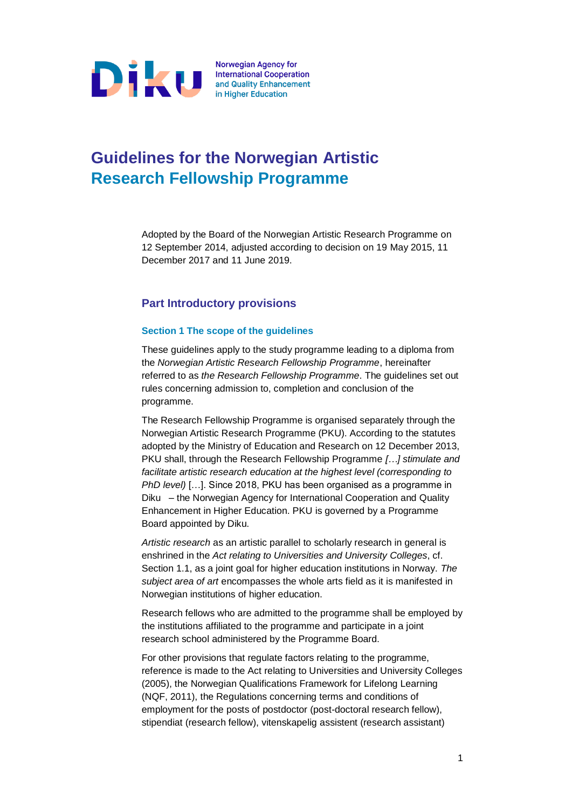

# **Guidelines for the Norwegian Artistic Research Fellowship Programme**

Adopted by the Board of the Norwegian Artistic Research Programme on 12 September 2014, adjusted according to decision on 19 May 2015, 11 December 2017 and 11 June 2019.

# **Part Introductory provisions**

# **Section 1 The scope of the guidelines**

These guidelines apply to the study programme leading to a diploma from the *Norwegian Artistic Research Fellowship Programme*, hereinafter referred to as *the Research Fellowship Programme*. The guidelines set out rules concerning admission to, completion and conclusion of the programme.

The Research Fellowship Programme is organised separately through the Norwegian Artistic Research Programme (PKU). According to the statutes adopted by the Ministry of Education and Research on 12 December 2013, PKU shall, through the Research Fellowship Programme *[…] stimulate and facilitate artistic research education at the highest level (corresponding to PhD level)* […]. Since 2018, PKU has been organised as a programme in Diku – the Norwegian Agency for International Cooperation and Quality Enhancement in Higher Education. PKU is governed by a Programme Board appointed by Diku.

*Artistic research* as an artistic parallel to scholarly research in general is enshrined in the *Act relating to Universities and University Colleges*, cf. Section 1.1, as a joint goal for higher education institutions in Norway. *The subject area of art* encompasses the whole arts field as it is manifested in Norwegian institutions of higher education.

Research fellows who are admitted to the programme shall be employed by the institutions affiliated to the programme and participate in a joint research school administered by the Programme Board.

For other provisions that regulate factors relating to the programme, reference is made to the Act relating to Universities and University Colleges (2005), the Norwegian Qualifications Framework for Lifelong Learning (NQF, 2011), [the Regulations concerning terms and conditions of](http://www.lovdata.no/for/sf/kd/kd-20060131-0102.html)  [employment for the posts of postdoctor \(post-doctoral research fellow\),](http://www.lovdata.no/for/sf/kd/kd-20060131-0102.html)  [stipendiat \(research fellow\), vitenskapelig assistent \(research assistant\)](http://www.lovdata.no/for/sf/kd/kd-20060131-0102.html)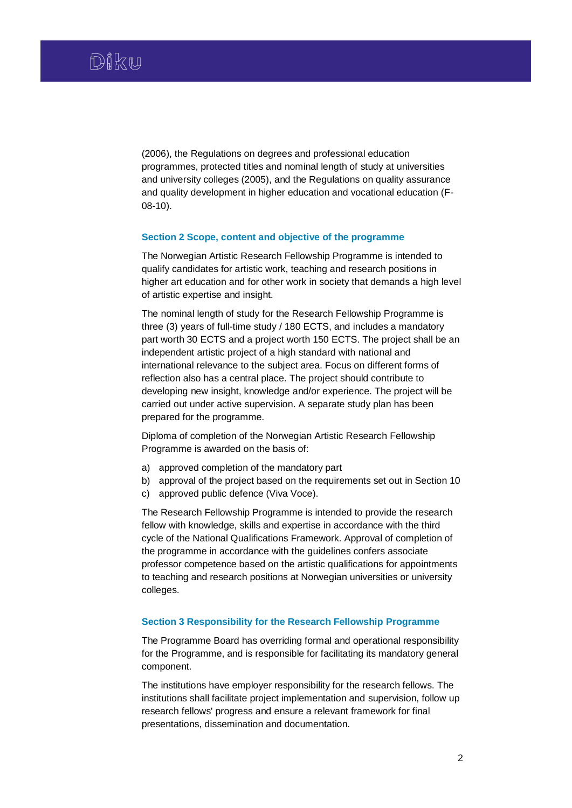[\(2006\), t](http://www.lovdata.no/for/sf/kd/kd-20060131-0102.html)he Regulations on degrees and professional education programmes, protected titles and nominal length of study at universities and university colleges (2005), and the Regulations on quality assurance and quality development in higher education and vocational education (F-08-10).

#### **Section 2 Scope, content and objective of the programme**

The Norwegian Artistic Research Fellowship Programme is intended to qualify candidates for artistic work, teaching and research positions in higher art education and for other work in society that demands a high level of artistic expertise and insight.

The nominal length of study for the Research Fellowship Programme is three (3) years of full-time study / 180 ECTS, and includes a mandatory part worth 30 ECTS and a project worth 150 ECTS. The project shall be an independent artistic project of a high standard with national and international relevance to the subject area. Focus on different forms of reflection also has a central place. The project should contribute to developing new insight, knowledge and/or experience. The project will be carried out under active supervision. A separate study plan has been prepared for the programme.

Diploma of completion of the Norwegian Artistic Research Fellowship Programme is awarded on the basis of:

- a) approved completion of the mandatory part
- b) approval of the project based on the requirements set out in Section 10
- c) approved public defence (Viva Voce).

The Research Fellowship Programme is intended to provide the research fellow with knowledge, skills and expertise in accordance with the third cycle of the National Qualifications Framework. Approval of completion of the programme in accordance with the guidelines confers associate professor competence based on the artistic qualifications for appointments to teaching and research positions at Norwegian universities or university colleges.

#### **Section 3 Responsibility for the Research Fellowship Programme**

The Programme Board has overriding formal and operational responsibility for the Programme, and is responsible for facilitating its mandatory general component.

The institutions have employer responsibility for the research fellows. The institutions shall facilitate project implementation and supervision, follow up research fellows' progress and ensure a relevant framework for final presentations, dissemination and documentation.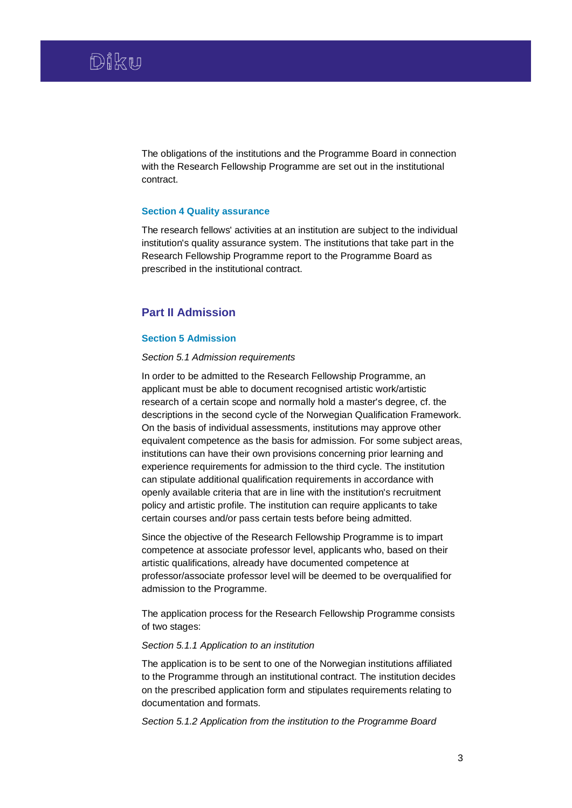The obligations of the institutions and the Programme Board in connection with the Research Fellowship Programme are set out in the institutional contract.

#### **Section 4 Quality assurance**

The research fellows' activities at an institution are subject to the individual institution's quality assurance system. The institutions that take part in the Research Fellowship Programme report to the Programme Board as prescribed in the institutional contract.

# **Part II Admission**

## **Section 5 Admission**

#### *Section 5.1 Admission requirements*

In order to be admitted to the Research Fellowship Programme, an applicant must be able to document recognised artistic work/artistic research of a certain scope and normally hold a master's degree, cf. the descriptions in the second cycle of the Norwegian Qualification Framework. On the basis of individual assessments, institutions may approve other equivalent competence as the basis for admission. For some subject areas, institutions can have their own provisions concerning prior learning and experience requirements for admission to the third cycle. The institution can stipulate additional qualification requirements in accordance with openly available criteria that are in line with the institution's recruitment policy and artistic profile. The institution can require applicants to take certain courses and/or pass certain tests before being admitted.

Since the objective of the Research Fellowship Programme is to impart competence at associate professor level, applicants who, based on their artistic qualifications, already have documented competence at professor/associate professor level will be deemed to be overqualified for admission to the Programme.

The application process for the Research Fellowship Programme consists of two stages:

# *Section 5.1.1 Application to an institution*

The application is to be sent to one of the Norwegian institutions affiliated to the Programme through an institutional contract. The institution decides on the prescribed application form and stipulates requirements relating to documentation and formats.

*Section 5.1.2 Application from the institution to the Programme Board*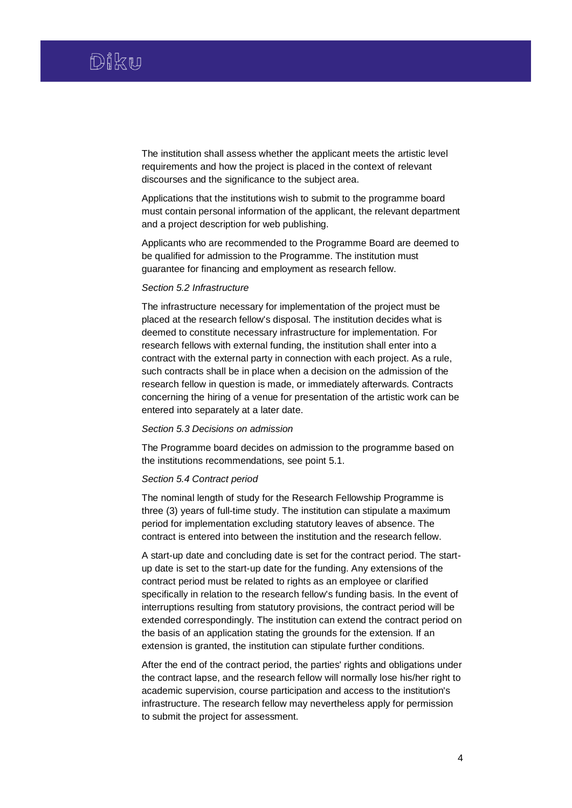The institution shall assess whether the applicant meets the artistic level requirements and how the project is placed in the context of relevant discourses and the significance to the subject area.

Applications that the institutions wish to submit to the programme board must contain personal information of the applicant, the relevant department and a project description for web publishing.

Applicants who are recommended to the Programme Board are deemed to be qualified for admission to the Programme. The institution must guarantee for financing and employment as research fellow.

# *Section 5.2 Infrastructure*

The infrastructure necessary for implementation of the project must be placed at the research fellow's disposal. The institution decides what is deemed to constitute necessary infrastructure for implementation. For research fellows with external funding, the institution shall enter into a contract with the external party in connection with each project. As a rule, such contracts shall be in place when a decision on the admission of the research fellow in question is made, or immediately afterwards. Contracts concerning the hiring of a venue for presentation of the artistic work can be entered into separately at a later date.

#### *Section 5.3 Decisions on admission*

The Programme board decides on admission to the programme based on the institutions recommendations, see point 5.1.

# *Section 5.4 Contract period*

The nominal length of study for the Research Fellowship Programme is three (3) years of full-time study. The institution can stipulate a maximum period for implementation excluding statutory leaves of absence. The contract is entered into between the institution and the research fellow.

A start-up date and concluding date is set for the contract period. The startup date is set to the start-up date for the funding. Any extensions of the contract period must be related to rights as an employee or clarified specifically in relation to the research fellow's funding basis. In the event of interruptions resulting from statutory provisions, the contract period will be extended correspondingly. The institution can extend the contract period on the basis of an application stating the grounds for the extension. If an extension is granted, the institution can stipulate further conditions.

After the end of the contract period, the parties' rights and obligations under the contract lapse, and the research fellow will normally lose his/her right to academic supervision, course participation and access to the institution's infrastructure. The research fellow may nevertheless apply for permission to submit the project for assessment.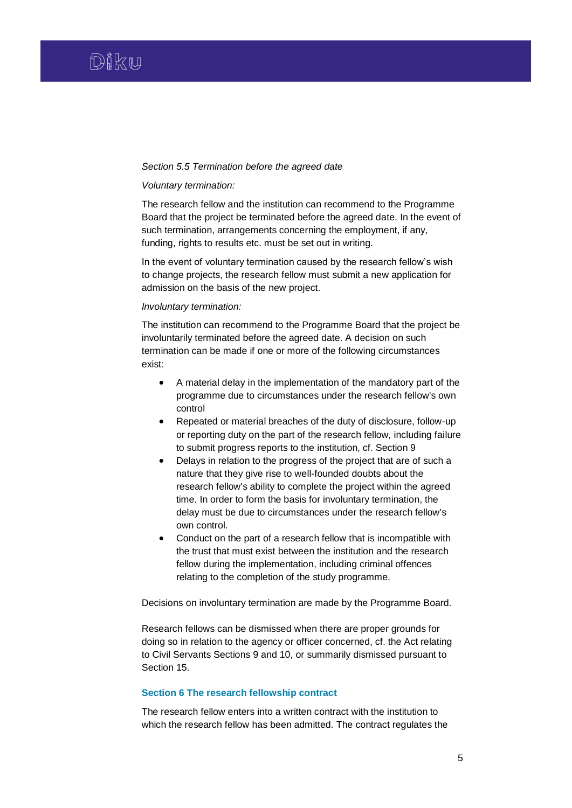#### *Section 5.5 Termination before the agreed date*

#### *Voluntary termination:*

The research fellow and the institution can recommend to the Programme Board that the project be terminated before the agreed date. In the event of such termination, arrangements concerning the employment, if any, funding, rights to results etc. must be set out in writing.

In the event of voluntary termination caused by the research fellow's wish to change projects, the research fellow must submit a new application for admission on the basis of the new project.

#### *Involuntary termination:*

The institution can recommend to the Programme Board that the project be involuntarily terminated before the agreed date. A decision on such termination can be made if one or more of the following circumstances exist:

- A material delay in the implementation of the mandatory part of the programme due to circumstances under the research fellow's own control
- Repeated or material breaches of the duty of disclosure, follow-up or reporting duty on the part of the research fellow, including failure to submit progress reports to the institution, cf. Section 9
- Delays in relation to the progress of the project that are of such a nature that they give rise to well-founded doubts about the research fellow's ability to complete the project within the agreed time. In order to form the basis for involuntary termination, the delay must be due to circumstances under the research fellow's own control.
- Conduct on the part of a research fellow that is incompatible with the trust that must exist between the institution and the research fellow during the implementation, including criminal offences relating to the completion of the study programme.

Decisions on involuntary termination are made by the Programme Board.

Research fellows can be dismissed when there are proper grounds for doing so in relation to the agency or officer concerned, cf. the Act relating to Civil Servants Sections 9 and 10, or summarily dismissed pursuant to Section 15.

# **Section 6 The research fellowship contract**

The research fellow enters into a written contract with the institution to which the research fellow has been admitted. The contract regulates the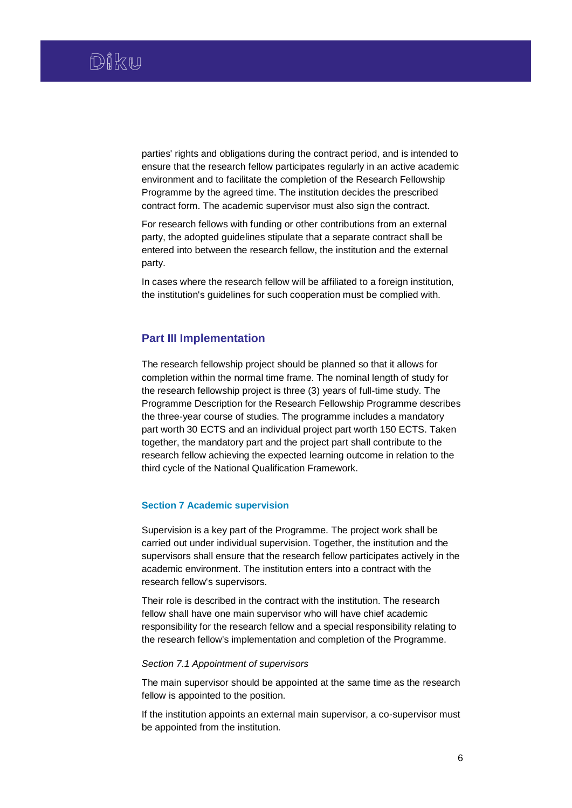parties' rights and obligations during the contract period, and is intended to ensure that the research fellow participates regularly in an active academic environment and to facilitate the completion of the Research Fellowship Programme by the agreed time. The institution decides the prescribed contract form. The academic supervisor must also sign the contract.

For research fellows with funding or other contributions from an external party, the adopted guidelines stipulate that a separate contract shall be entered into between the research fellow, the institution and the external party.

In cases where the research fellow will be affiliated to a foreign institution, the institution's guidelines for such cooperation must be complied with.

# **Part III Implementation**

The research fellowship project should be planned so that it allows for completion within the normal time frame. The nominal length of study for the research fellowship project is three (3) years of full-time study. The Programme Description for the Research Fellowship Programme describes the three-year course of studies. The programme includes a mandatory part worth 30 ECTS and an individual project part worth 150 ECTS. Taken together, the mandatory part and the project part shall contribute to the research fellow achieving the expected learning outcome in relation to the third cycle of the National Qualification Framework.

# **Section 7 Academic supervision**

Supervision is a key part of the Programme. The project work shall be carried out under individual supervision. Together, the institution and the supervisors shall ensure that the research fellow participates actively in the academic environment. The institution enters into a contract with the research fellow's supervisors.

Their role is described in the contract with the institution. The research fellow shall have one main supervisor who will have chief academic responsibility for the research fellow and a special responsibility relating to the research fellow's implementation and completion of the Programme.

#### *Section 7.1 Appointment of supervisors*

The main supervisor should be appointed at the same time as the research fellow is appointed to the position.

If the institution appoints an external main supervisor, a co-supervisor must be appointed from the institution.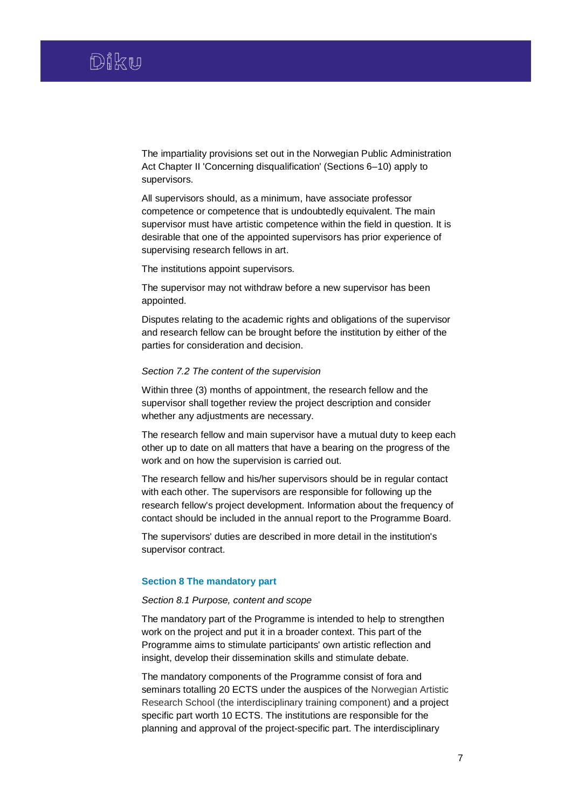The impartiality provisions set out in the Norwegian Public Administration Act Chapter II 'Concerning disqualification' (Sections 6–10) apply to supervisors.

All supervisors should, as a minimum, have associate professor competence or competence that is undoubtedly equivalent. The main supervisor must have artistic competence within the field in question. It is desirable that one of the appointed supervisors has prior experience of supervising research fellows in art.

The institutions appoint supervisors.

The supervisor may not withdraw before a new supervisor has been appointed.

Disputes relating to the academic rights and obligations of the supervisor and research fellow can be brought before the institution by either of the parties for consideration and decision.

## *Section 7.2 The content of the supervision*

Within three (3) months of appointment, the research fellow and the supervisor shall together review the project description and consider whether any adjustments are necessary.

The research fellow and main supervisor have a mutual duty to keep each other up to date on all matters that have a bearing on the progress of the work and on how the supervision is carried out.

The research fellow and his/her supervisors should be in regular contact with each other. The supervisors are responsible for following up the research fellow's project development. Information about the frequency of contact should be included in the annual report to the Programme Board.

The supervisors' duties are described in more detail in the institution's supervisor contract.

## **Section 8 The mandatory part**

#### *Section 8.1 Purpose, content and scope*

The mandatory part of the Programme is intended to help to strengthen work on the project and put it in a broader context. This part of the Programme aims to stimulate participants' own artistic reflection and insight, develop their dissemination skills and stimulate debate.

The mandatory components of the Programme consist of fora and seminars totalling 20 ECTS under the auspices of the Norwegian Artistic Research School (the interdisciplinary training component) and a project specific part worth 10 ECTS. The institutions are responsible for the planning and approval of the project-specific part. The interdisciplinary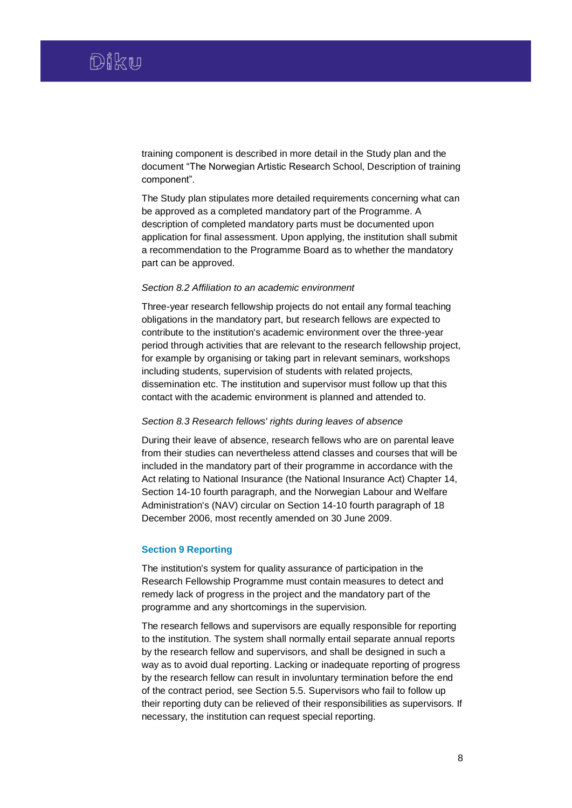training component is described in more detail in the Study plan and the document "The Norwegian Artistic Research School, Description of training component".

The Study plan stipulates more detailed requirements concerning what can be approved as a completed mandatory part of the Programme. A description of completed mandatory parts must be documented upon application for final assessment. Upon applying, the institution shall submit a recommendation to the Programme Board as to whether the mandatory part can be approved.

## *Section 8.2 Affiliation to an academic environment*

Three-year research fellowship projects do not entail any formal teaching obligations in the mandatory part, but research fellows are expected to contribute to the institution's academic environment over the three-year period through activities that are relevant to the research fellowship project, for example by organising or taking part in relevant seminars, workshops including students, supervision of students with related projects, dissemination etc. The institution and supervisor must follow up that this contact with the academic environment is planned and attended to.

#### *Section 8.3 Research fellows' rights during leaves of absence*

During their leave of absence, research fellows who are on parental leave from their studies can nevertheless attend classes and courses that will be included in the mandatory part of their programme in accordance with the Act relating to National Insurance (the National Insurance Act) Chapter 14, Section 14-10 fourth paragraph, and the Norwegian Labour and Welfare Administration's (NAV) circular on Section 14-10 fourth paragraph of 18 December 2006, most recently amended on 30 June 2009.

# **Section 9 Reporting**

The institution's system for quality assurance of participation in the Research Fellowship Programme must contain measures to detect and remedy lack of progress in the project and the mandatory part of the programme and any shortcomings in the supervision.

The research fellows and supervisors are equally responsible for reporting to the institution. The system shall normally entail separate annual reports by the research fellow and supervisors, and shall be designed in such a way as to avoid dual reporting. Lacking or inadequate reporting of progress by the research fellow can result in involuntary termination before the end of the contract period, see Section 5.5. Supervisors who fail to follow up their reporting duty can be relieved of their responsibilities as supervisors. If necessary, the institution can request special reporting.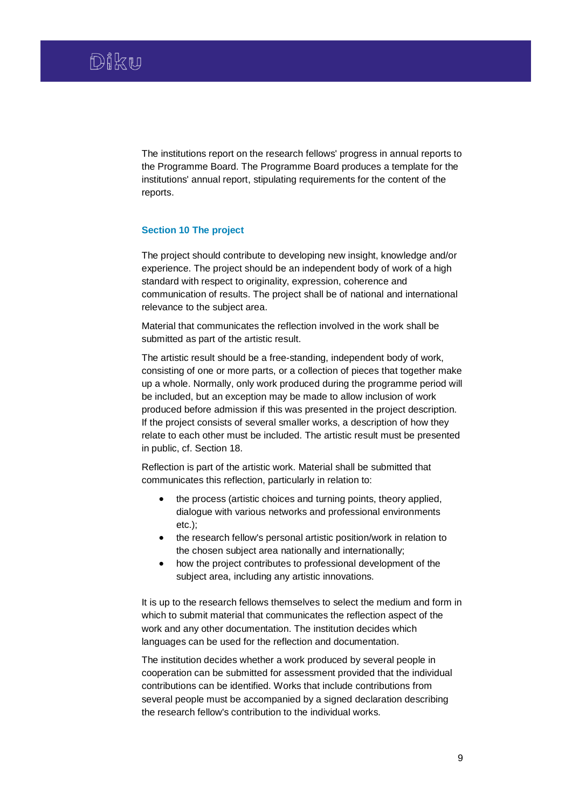The institutions report on the research fellows' progress in annual reports to the Programme Board. The Programme Board produces a template for the institutions' annual report, stipulating requirements for the content of the reports.

# **Section 10 The project**

The project should contribute to developing new insight, knowledge and/or experience. The project should be an independent body of work of a high standard with respect to originality, expression, coherence and communication of results. The project shall be of national and international relevance to the subject area.

Material that communicates the reflection involved in the work shall be submitted as part of the artistic result.

The artistic result should be a free-standing, independent body of work, consisting of one or more parts, or a collection of pieces that together make up a whole. Normally, only work produced during the programme period will be included, but an exception may be made to allow inclusion of work produced before admission if this was presented in the project description. If the project consists of several smaller works, a description of how they relate to each other must be included. The artistic result must be presented in public, cf. Section 18.

Reflection is part of the artistic work. Material shall be submitted that communicates this reflection, particularly in relation to:

- the process (artistic choices and turning points, theory applied, dialogue with various networks and professional environments etc.);
- the research fellow's personal artistic position/work in relation to the chosen subject area nationally and internationally;
- how the project contributes to professional development of the subject area, including any artistic innovations.

It is up to the research fellows themselves to select the medium and form in which to submit material that communicates the reflection aspect of the work and any other documentation. The institution decides which languages can be used for the reflection and documentation.

The institution decides whether a work produced by several people in cooperation can be submitted for assessment provided that the individual contributions can be identified. Works that include contributions from several people must be accompanied by a signed declaration describing the research fellow's contribution to the individual works.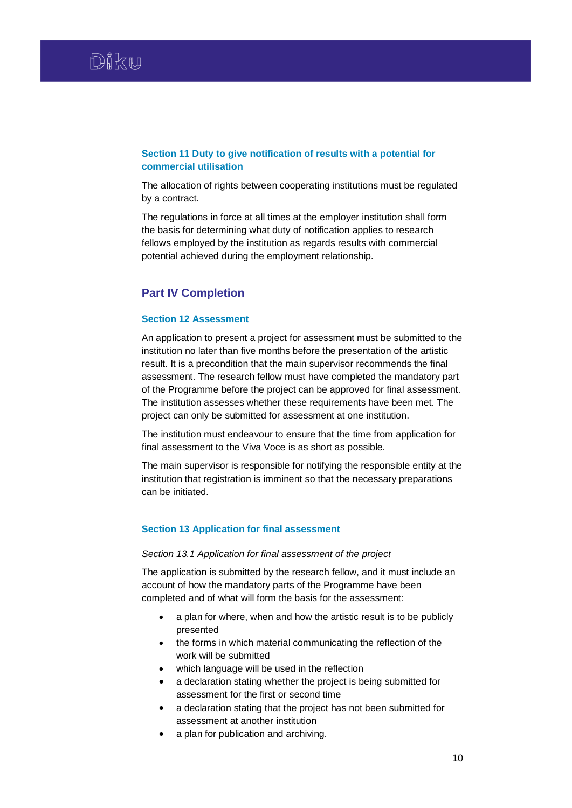# **Section 11 Duty to give notification of results with a potential for commercial utilisation**

The allocation of rights between cooperating institutions must be regulated by a contract.

The regulations in force at all times at the employer institution shall form the basis for determining what duty of notification applies to research fellows employed by the institution as regards results with commercial potential achieved during the employment relationship.

# **Part IV Completion**

# **Section 12 Assessment**

An application to present a project for assessment must be submitted to the institution no later than five months before the presentation of the artistic result. It is a precondition that the main supervisor recommends the final assessment. The research fellow must have completed the mandatory part of the Programme before the project can be approved for final assessment. The institution assesses whether these requirements have been met. The project can only be submitted for assessment at one institution.

The institution must endeavour to ensure that the time from application for final assessment to the Viva Voce is as short as possible.

The main supervisor is responsible for notifying the responsible entity at the institution that registration is imminent so that the necessary preparations can be initiated.

# **Section 13 Application for final assessment**

## *Section 13.1 Application for final assessment of the project*

The application is submitted by the research fellow, and it must include an account of how the mandatory parts of the Programme have been completed and of what will form the basis for the assessment:

- a plan for where, when and how the artistic result is to be publicly presented
- the forms in which material communicating the reflection of the work will be submitted
- which language will be used in the reflection
- a declaration stating whether the project is being submitted for assessment for the first or second time
- a declaration stating that the project has not been submitted for assessment at another institution
- a plan for publication and archiving.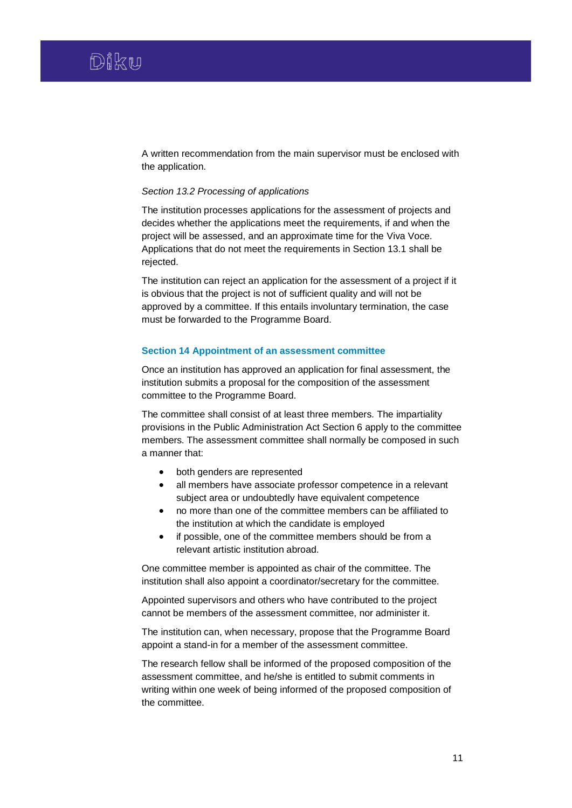A written recommendation from the main supervisor must be enclosed with the application.

## *Section 13.2 Processing of applications*

The institution processes applications for the assessment of projects and decides whether the applications meet the requirements, if and when the project will be assessed, and an approximate time for the Viva Voce. Applications that do not meet the requirements in Section 13.1 shall be rejected.

The institution can reject an application for the assessment of a project if it is obvious that the project is not of sufficient quality and will not be approved by a committee. If this entails involuntary termination, the case must be forwarded to the Programme Board.

# **Section 14 Appointment of an assessment committee**

Once an institution has approved an application for final assessment, the institution submits a proposal for the composition of the assessment committee to the Programme Board.

The committee shall consist of at least three members. The impartiality provisions in the Public Administration Act Section 6 apply to the committee members. The assessment committee shall normally be composed in such a manner that:

- both genders are represented
- all members have associate professor competence in a relevant subject area or undoubtedly have equivalent competence
- no more than one of the committee members can be affiliated to the institution at which the candidate is employed
- if possible, one of the committee members should be from a relevant artistic institution abroad.

One committee member is appointed as chair of the committee. The institution shall also appoint a coordinator/secretary for the committee.

Appointed supervisors and others who have contributed to the project cannot be members of the assessment committee, nor administer it.

The institution can, when necessary, propose that the Programme Board appoint a stand-in for a member of the assessment committee.

The research fellow shall be informed of the proposed composition of the assessment committee, and he/she is entitled to submit comments in writing within one week of being informed of the proposed composition of the committee.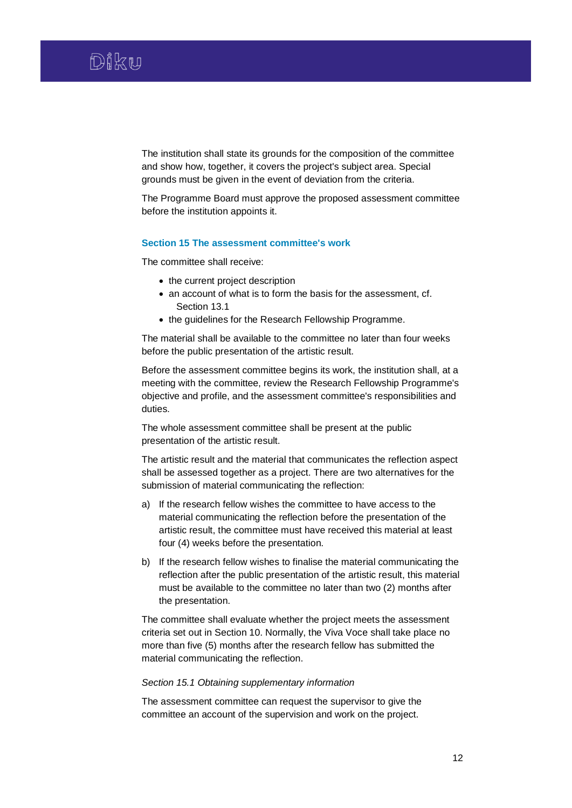The institution shall state its grounds for the composition of the committee and show how, together, it covers the project's subject area. Special grounds must be given in the event of deviation from the criteria.

The Programme Board must approve the proposed assessment committee before the institution appoints it.

## **Section 15 The assessment committee's work**

The committee shall receive:

- the current project description
- an account of what is to form the basis for the assessment, cf. Section 13.1
- the guidelines for the Research Fellowship Programme.

The material shall be available to the committee no later than four weeks before the public presentation of the artistic result.

Before the assessment committee begins its work, the institution shall, at a meeting with the committee, review the Research Fellowship Programme's objective and profile, and the assessment committee's responsibilities and duties.

The whole assessment committee shall be present at the public presentation of the artistic result.

The artistic result and the material that communicates the reflection aspect shall be assessed together as a project. There are two alternatives for the submission of material communicating the reflection:

- a) If the research fellow wishes the committee to have access to the material communicating the reflection before the presentation of the artistic result, the committee must have received this material at least four (4) weeks before the presentation.
- b) If the research fellow wishes to finalise the material communicating the reflection after the public presentation of the artistic result, this material must be available to the committee no later than two (2) months after the presentation.

The committee shall evaluate whether the project meets the assessment criteria set out in Section 10. Normally, the Viva Voce shall take place no more than five (5) months after the research fellow has submitted the material communicating the reflection.

# *Section 15.1 Obtaining supplementary information*

The assessment committee can request the supervisor to give the committee an account of the supervision and work on the project.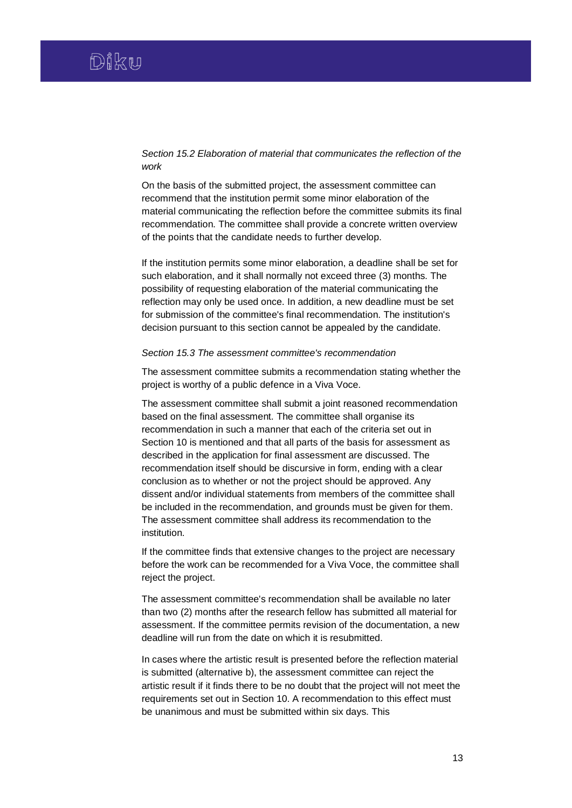# *Section 15.2 Elaboration of material that communicates the reflection of the work*

On the basis of the submitted project, the assessment committee can recommend that the institution permit some minor elaboration of the material communicating the reflection before the committee submits its final recommendation. The committee shall provide a concrete written overview of the points that the candidate needs to further develop.

If the institution permits some minor elaboration, a deadline shall be set for such elaboration, and it shall normally not exceed three (3) months. The possibility of requesting elaboration of the material communicating the reflection may only be used once. In addition, a new deadline must be set for submission of the committee's final recommendation. The institution's decision pursuant to this section cannot be appealed by the candidate.

#### *Section 15.3 The assessment committee's recommendation*

The assessment committee submits a recommendation stating whether the project is worthy of a public defence in a Viva Voce.

The assessment committee shall submit a joint reasoned recommendation based on the final assessment. The committee shall organise its recommendation in such a manner that each of the criteria set out in Section 10 is mentioned and that all parts of the basis for assessment as described in the application for final assessment are discussed. The recommendation itself should be discursive in form, ending with a clear conclusion as to whether or not the project should be approved. Any dissent and/or individual statements from members of the committee shall be included in the recommendation, and grounds must be given for them. The assessment committee shall address its recommendation to the institution.

If the committee finds that extensive changes to the project are necessary before the work can be recommended for a Viva Voce, the committee shall reject the project.

The assessment committee's recommendation shall be available no later than two (2) months after the research fellow has submitted all material for assessment. If the committee permits revision of the documentation, a new deadline will run from the date on which it is resubmitted.

In cases where the artistic result is presented before the reflection material is submitted (alternative b), the assessment committee can reject the artistic result if it finds there to be no doubt that the project will not meet the requirements set out in Section 10. A recommendation to this effect must be unanimous and must be submitted within six days. This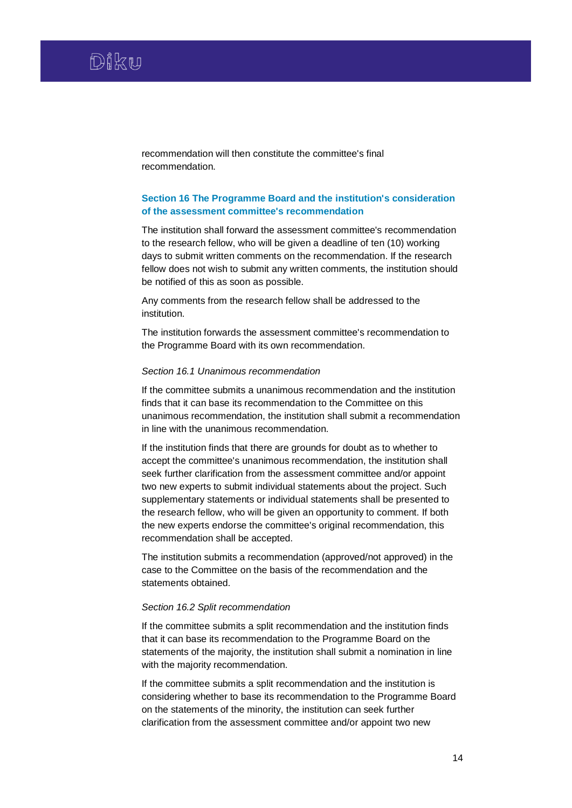recommendation will then constitute the committee's final recommendation.

# **Section 16 The Programme Board and the institution's consideration of the assessment committee's recommendation**

The institution shall forward the assessment committee's recommendation to the research fellow, who will be given a deadline of ten (10) working days to submit written comments on the recommendation. If the research fellow does not wish to submit any written comments, the institution should be notified of this as soon as possible.

Any comments from the research fellow shall be addressed to the institution.

The institution forwards the assessment committee's recommendation to the Programme Board with its own recommendation.

#### *Section 16.1 Unanimous recommendation*

If the committee submits a unanimous recommendation and the institution finds that it can base its recommendation to the Committee on this unanimous recommendation, the institution shall submit a recommendation in line with the unanimous recommendation.

If the institution finds that there are grounds for doubt as to whether to accept the committee's unanimous recommendation, the institution shall seek further clarification from the assessment committee and/or appoint two new experts to submit individual statements about the project. Such supplementary statements or individual statements shall be presented to the research fellow, who will be given an opportunity to comment. If both the new experts endorse the committee's original recommendation, this recommendation shall be accepted.

The institution submits a recommendation (approved/not approved) in the case to the Committee on the basis of the recommendation and the statements obtained.

#### *Section 16.2 Split recommendation*

If the committee submits a split recommendation and the institution finds that it can base its recommendation to the Programme Board on the statements of the majority, the institution shall submit a nomination in line with the majority recommendation.

If the committee submits a split recommendation and the institution is considering whether to base its recommendation to the Programme Board on the statements of the minority, the institution can seek further clarification from the assessment committee and/or appoint two new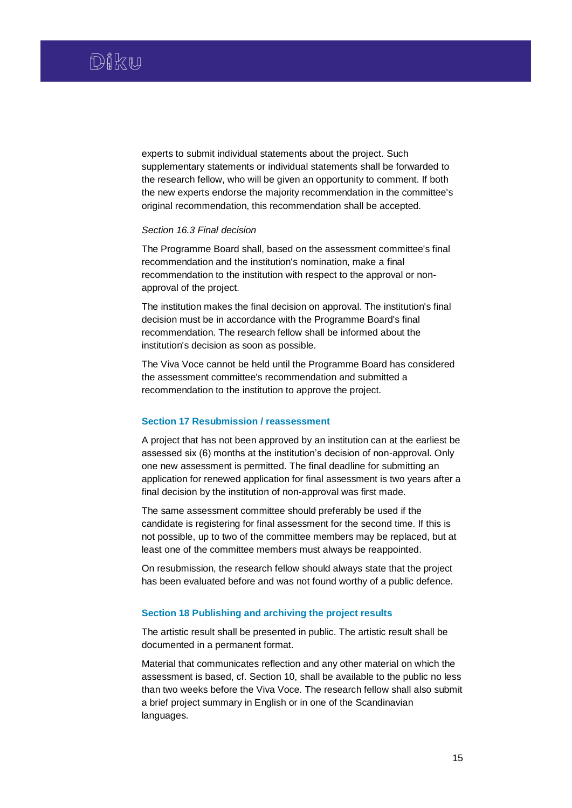experts to submit individual statements about the project. Such supplementary statements or individual statements shall be forwarded to the research fellow, who will be given an opportunity to comment. If both the new experts endorse the majority recommendation in the committee's original recommendation, this recommendation shall be accepted.

## *Section 16.3 Final decision*

The Programme Board shall, based on the assessment committee's final recommendation and the institution's nomination, make a final recommendation to the institution with respect to the approval or nonapproval of the project.

The institution makes the final decision on approval. The institution's final decision must be in accordance with the Programme Board's final recommendation. The research fellow shall be informed about the institution's decision as soon as possible.

The Viva Voce cannot be held until the Programme Board has considered the assessment committee's recommendation and submitted a recommendation to the institution to approve the project.

# **Section 17 Resubmission / reassessment**

A project that has not been approved by an institution can at the earliest be assessed six (6) months at the institution's decision of non-approval. Only one new assessment is permitted. The final deadline for submitting an application for renewed application for final assessment is two years after a final decision by the institution of non-approval was first made.

The same assessment committee should preferably be used if the candidate is registering for final assessment for the second time. If this is not possible, up to two of the committee members may be replaced, but at least one of the committee members must always be reappointed.

On resubmission, the research fellow should always state that the project has been evaluated before and was not found worthy of a public defence.

# **Section 18 Publishing and archiving the project results**

The artistic result shall be presented in public. The artistic result shall be documented in a permanent format.

Material that communicates reflection and any other material on which the assessment is based, cf. Section 10, shall be available to the public no less than two weeks before the Viva Voce. The research fellow shall also submit a brief project summary in English or in one of the Scandinavian languages.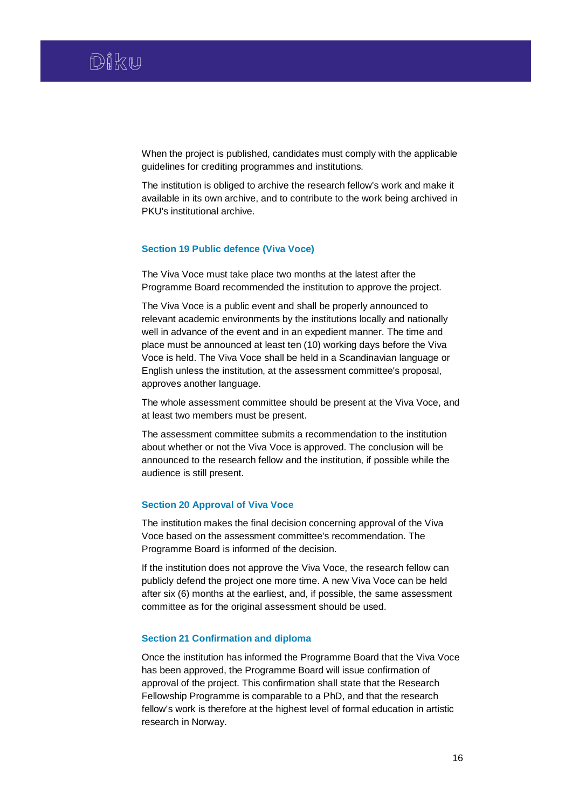When the project is published, candidates must comply with the applicable guidelines for crediting programmes and institutions.

The institution is obliged to archive the research fellow's work and make it available in its own archive, and to contribute to the work being archived in PKU's institutional archive.

## **Section 19 Public defence (Viva Voce)**

The Viva Voce must take place two months at the latest after the Programme Board recommended the institution to approve the project.

The Viva Voce is a public event and shall be properly announced to relevant academic environments by the institutions locally and nationally well in advance of the event and in an expedient manner. The time and place must be announced at least ten (10) working days before the Viva Voce is held. The Viva Voce shall be held in a Scandinavian language or English unless the institution, at the assessment committee's proposal, approves another language.

The whole assessment committee should be present at the Viva Voce, and at least two members must be present.

The assessment committee submits a recommendation to the institution about whether or not the Viva Voce is approved. The conclusion will be announced to the research fellow and the institution, if possible while the audience is still present.

# **Section 20 Approval of Viva Voce**

The institution makes the final decision concerning approval of the Viva Voce based on the assessment committee's recommendation. The Programme Board is informed of the decision.

If the institution does not approve the Viva Voce, the research fellow can publicly defend the project one more time. A new Viva Voce can be held after six (6) months at the earliest, and, if possible, the same assessment committee as for the original assessment should be used.

# **Section 21 Confirmation and diploma**

Once the institution has informed the Programme Board that the Viva Voce has been approved, the Programme Board will issue confirmation of approval of the project. This confirmation shall state that the Research Fellowship Programme is comparable to a PhD, and that the research fellow's work is therefore at the highest level of formal education in artistic research in Norway.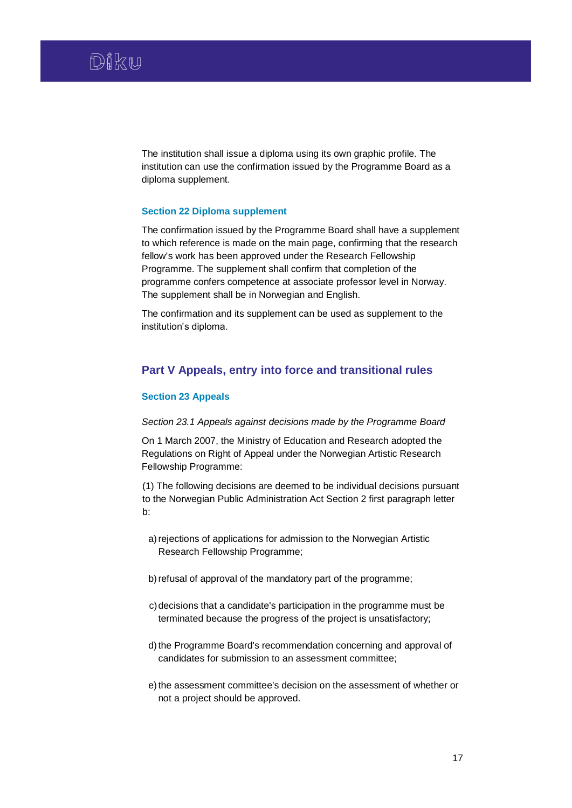The institution shall issue a diploma using its own graphic profile. The institution can use the confirmation issued by the Programme Board as a diploma supplement.

# **Section 22 Diploma supplement**

The confirmation issued by the Programme Board shall have a supplement to which reference is made on the main page, confirming that the research fellow's work has been approved under the Research Fellowship Programme. The supplement shall confirm that completion of the programme confers competence at associate professor level in Norway. The supplement shall be in Norwegian and English.

The confirmation and its supplement can be used as supplement to the institution's diploma.

# **Part V Appeals, entry into force and transitional rules**

## **Section 23 Appeals**

#### *Section 23.1 Appeals against decisions made by the Programme Board*

On 1 March 2007, the Ministry of Education and Research adopted the Regulations on Right of Appeal under the Norwegian Artistic Research Fellowship Programme:

(1) The following decisions are deemed to be individual decisions pursuant to the Norwegian Public Administration Act Section 2 first paragraph letter b:

- a) rejections of applications for admission to the Norwegian Artistic Research Fellowship Programme;
- b) refusal of approval of the mandatory part of the programme;
- c)decisions that a candidate's participation in the programme must be terminated because the progress of the project is unsatisfactory;
- d) the Programme Board's recommendation concerning and approval of candidates for submission to an assessment committee;
- e) the assessment committee's decision on the assessment of whether or not a project should be approved.